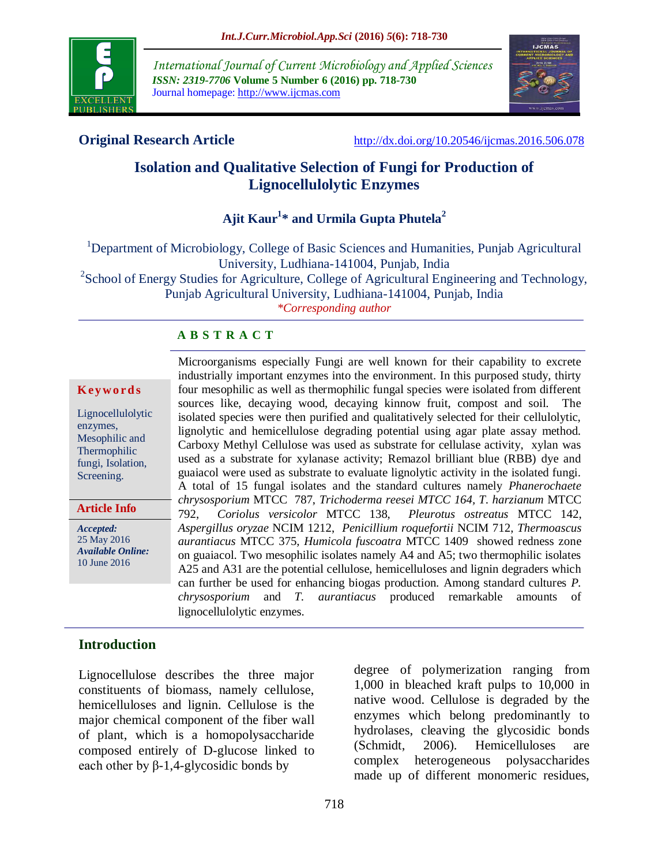

*International Journal of Current Microbiology and Applied Sciences ISSN: 2319-7706* **Volume 5 Number 6 (2016) pp. 718-730** Journal homepage: http://www.ijcmas.com



**Original Research Article** <http://dx.doi.org/10.20546/ijcmas.2016.506.078>

# **Isolation and Qualitative Selection of Fungi for Production of Lignocellulolytic Enzymes**

# **Ajit Kaur<sup>1</sup> \* and Urmila Gupta Phutela<sup>2</sup>**

<sup>1</sup>Department of Microbiology, College of Basic Sciences and Humanities, Punjab Agricultural University, Ludhiana-141004, Punjab, India <sup>2</sup>School of Energy Studies for Agriculture, College of Agricultural Engineering and Technology, Punjab Agricultural University, Ludhiana-141004, Punjab, India

*\*Corresponding author*

#### **A B S T R A C T**

#### **K ey w o rd s**

Lignocellulolytic enzymes, Mesophilic and Thermophilic fungi, Isolation, Screening.

**Article Info**

*Accepted:*  25 May 2016 *Available Online:* 10 June 2016

Microorganisms especially Fungi are well known for their capability to excrete industrially important enzymes into the environment. In this purposed study, thirty four mesophilic as well as thermophilic fungal species were isolated from different sources like, decaying wood, decaying kinnow fruit, compost and soil. The isolated species were then purified and qualitatively selected for their cellulolytic, lignolytic and hemicellulose degrading potential using agar plate assay method. Carboxy Methyl Cellulose was used as substrate for cellulase activity, xylan was used as a substrate for xylanase activity; Remazol brilliant blue (RBB) dye and guaiacol were used as substrate to evaluate lignolytic activity in the isolated fungi. A total of 15 fungal isolates and the standard cultures namely *Phanerochaete chrysosporium* MTCC 787, *Trichoderma reesei MTCC 164, T. harzianum* MTCC 792, *Coriolus versicolor* MTCC 138, *Pleurotus ostreatus* MTCC 142, *Aspergillus oryzae* NCIM 1212, *Penicillium roquefortii* NCIM 712, *Thermoascus aurantiacus* MTCC 375*, Humicola fuscoatra* MTCC 1409 showed redness zone on guaiacol. Two mesophilic isolates namely A4 and A5; two thermophilic isolates A25 and A31 are the potential cellulose, hemicelluloses and lignin degraders which can further be used for enhancing biogas production. Among standard cultures *P. chrysosporium* and *T. aurantiacus* produced remarkable amounts of lignocellulolytic enzymes.

## **Introduction**

Lignocellulose describes the three major constituents of biomass, namely cellulose, hemicelluloses and lignin. Cellulose is the major chemical component of the fiber wall of plant, which is a homopolysaccharide composed entirely of D-glucose linked to each other by β-1,4-glycosidic bonds by

degree of polymerization ranging from 1,000 in bleached kraft pulps to 10,000 in native wood. Cellulose is degraded by the enzymes which belong predominantly to hydrolases, cleaving the glycosidic bonds (Schmidt, 2006). Hemicelluloses are complex heterogeneous polysaccharides made up of different monomeric residues,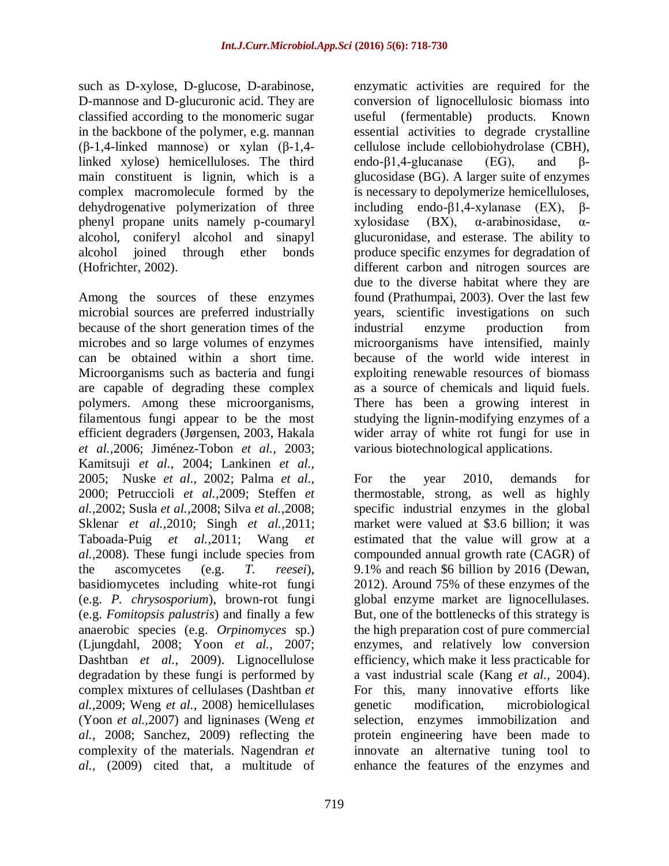such as D-xylose, D-glucose, D-arabinose, D-mannose and D-glucuronic acid. They are classified according to the monomeric sugar in the backbone of the polymer, e.g. mannan (β-1,4-linked mannose) or xylan (β-1,4 linked xylose) hemicelluloses. The third main constituent is lignin, which is a complex macromolecule formed by the dehydrogenative polymerization of three phenyl propane units namely p-coumaryl alcohol, coniferyl alcohol and sinapyl alcohol joined through ether bonds (Hofrichter, 2002).

Among the sources of these enzymes microbial sources are preferred industrially because of the short generation times of the microbes and so large volumes of enzymes can be obtained within a short time. Microorganisms such as bacteria and fungi are capable of degrading these complex polymers. Among these microorganisms, filamentous fungi appear to be the most efficient degraders (Jørgensen, 2003, Hakala *et al.,*2006; Jiménez-Tobon *et al.,* 2003; Kamitsuji *et al.,* 2004; Lankinen *et al.,* 2005; Nuske *et al*., 2002; Palma *et al.,* 2000; Petruccioli *et al.,*2009; Steffen *et al.,*2002; Susla *et al.,*2008; Silva *et al.,*2008; Sklenar *et al.,*2010; Singh *et al.,*2011; Taboada-Puig *et al.,*2011; Wang *et al.,*2008). These fungi include species from the ascomycetes (e.g. *T. reesei*), basidiomycetes including white-rot fungi (e.g. *P. chrysosporium*), brown-rot fungi (e.g. *Fomitopsis palustris*) and finally a few anaerobic species (e.g. *Orpinomyces* sp.) (Ljungdahl, 2008; Yoon *et al.*, 2007; Dashtban *et al.,* 2009). Lignocellulose degradation by these fungi is performed by complex mixtures of cellulases (Dashtban *et al.,*2009; Weng *et al.,* 2008) hemicellulases (Yoon *et al.,*2007) and ligninases (Weng *et al.,* 2008; Sanchez, 2009) reflecting the complexity of the materials. Nagendran *et al.,* (2009) cited that, a multitude of

enzymatic activities are required for the conversion of lignocellulosic biomass into useful (fermentable) products. Known essential activities to degrade crystalline cellulose include cellobiohydrolase (CBH), endo-β1,4-glucanase (EG), and βglucosidase (BG). A larger suite of enzymes is necessary to depolymerize hemicelluloses, including endo-β1,4-xylanase (EX), βxylosidase (BX),  $\alpha$ -arabinosidase,  $\alpha$ glucuronidase, and esterase. The ability to produce specific enzymes for degradation of different carbon and nitrogen sources are due to the diverse habitat where they are found (Prathumpai, 2003). Over the last few years, scientific investigations on such industrial enzyme production from microorganisms have intensified, mainly because of the world wide interest in exploiting renewable resources of biomass as a source of chemicals and liquid fuels. There has been a growing interest in studying the lignin-modifying enzymes of a wider array of white rot fungi for use in various biotechnological applications.

For the year 2010, demands for thermostable, strong, as well as highly specific industrial enzymes in the global market were valued at \$3.6 billion; it was estimated that the value will grow at a compounded annual growth rate (CAGR) of 9.1% and reach \$6 billion by 2016 (Dewan, 2012). Around 75% of these enzymes of the global enzyme market are lignocellulases. But, one of the bottlenecks of this strategy is the high preparation cost of pure commercial enzymes, and relatively low conversion efficiency, which make it less practicable for a vast industrial scale (Kang *et al.,* 2004). For this, many innovative efforts like genetic modification, microbiological selection, enzymes immobilization and protein engineering have been made to innovate an alternative tuning tool to enhance the features of the enzymes and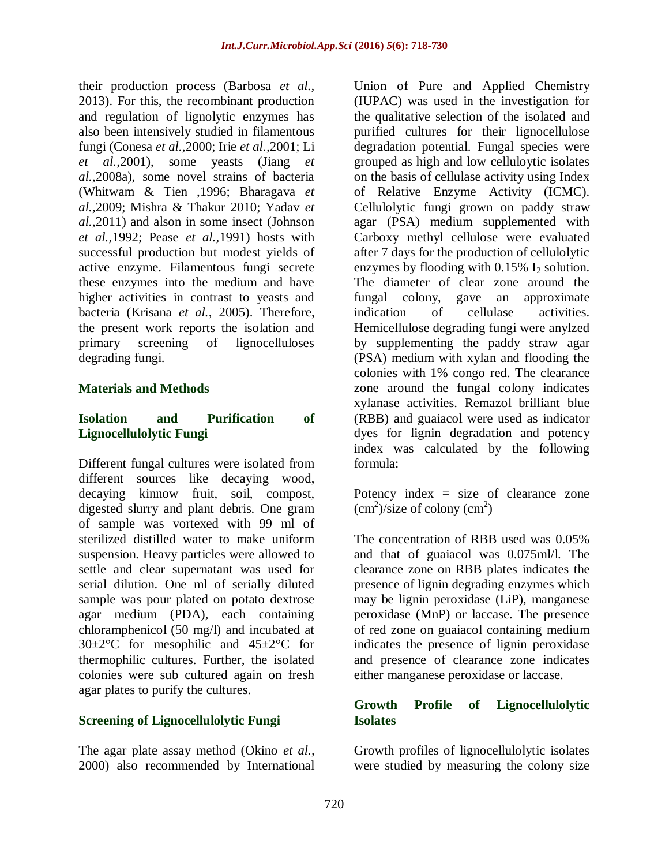their production process (Barbosa *et al.,* 2013). For this, the recombinant production and regulation of lignolytic enzymes has also been intensively studied in filamentous fungi (Conesa *et al.,*2000; Irie *et al.,*2001; Li *et al.,*2001), some yeasts (Jiang *et al.,*2008a), some novel strains of bacteria (Whitwam & Tien ,1996; Bharagava *et al.,*2009; Mishra & Thakur 2010; Yadav *et al.,*2011) and alson in some insect (Johnson *et al.,*1992; Pease *et al.,*1991) hosts with successful production but modest yields of active enzyme. Filamentous fungi secrete these enzymes into the medium and have higher activities in contrast to yeasts and bacteria (Krisana *et al.,* 2005). Therefore, the present work reports the isolation and primary screening of lignocelluloses degrading fungi.

#### **Materials and Methods**

#### **Isolation and Purification of Lignocellulolytic Fungi**

Different fungal cultures were isolated from different sources like decaying wood, decaying kinnow fruit, soil, compost, digested slurry and plant debris. One gram of sample was vortexed with 99 ml of sterilized distilled water to make uniform suspension. Heavy particles were allowed to settle and clear supernatant was used for serial dilution. One ml of serially diluted sample was pour plated on potato dextrose agar medium (PDA), each containing chloramphenicol (50 mg/l) and incubated at  $30\pm2\degree C$  for mesophilic and  $45\pm2\degree C$  for thermophilic cultures. Further, the isolated colonies were sub cultured again on fresh agar plates to purify the cultures.

#### **Screening of Lignocellulolytic Fungi**

The agar plate assay method (Okino *et al.,* 2000) also recommended by International Union of Pure and Applied Chemistry (IUPAC) was used in the investigation for the qualitative selection of the isolated and purified cultures for their lignocellulose degradation potential. Fungal species were grouped as high and low celluloytic isolates on the basis of cellulase activity using Index of Relative Enzyme Activity (ICMC). Cellulolytic fungi grown on paddy straw agar (PSA) medium supplemented with Carboxy methyl cellulose were evaluated after 7 days for the production of cellulolytic enzymes by flooding with  $0.15\%$  I<sub>2</sub> solution. The diameter of clear zone around the fungal colony, gave an approximate indication of cellulase activities. Hemicellulose degrading fungi were anylzed by supplementing the paddy straw agar (PSA) medium with xylan and flooding the colonies with 1% congo red. The clearance zone around the fungal colony indicates xylanase activities. Remazol brilliant blue (RBB) and guaiacol were used as indicator dyes for lignin degradation and potency index was calculated by the following formula:

Potency index = size of clearance zone  $\text{(cm}^2\text{)/size}$  of colony  $\text{(cm}^2\text{)}$ 

The concentration of RBB used was 0.05% and that of guaiacol was 0.075ml/l. The clearance zone on RBB plates indicates the presence of lignin degrading enzymes which may be lignin peroxidase (LiP), manganese peroxidase (MnP) or laccase. The presence of red zone on guaiacol containing medium indicates the presence of lignin peroxidase and presence of clearance zone indicates either manganese peroxidase or laccase.

#### **Growth Profile of Lignocellulolytic Isolates**

Growth profiles of lignocellulolytic isolates were studied by measuring the colony size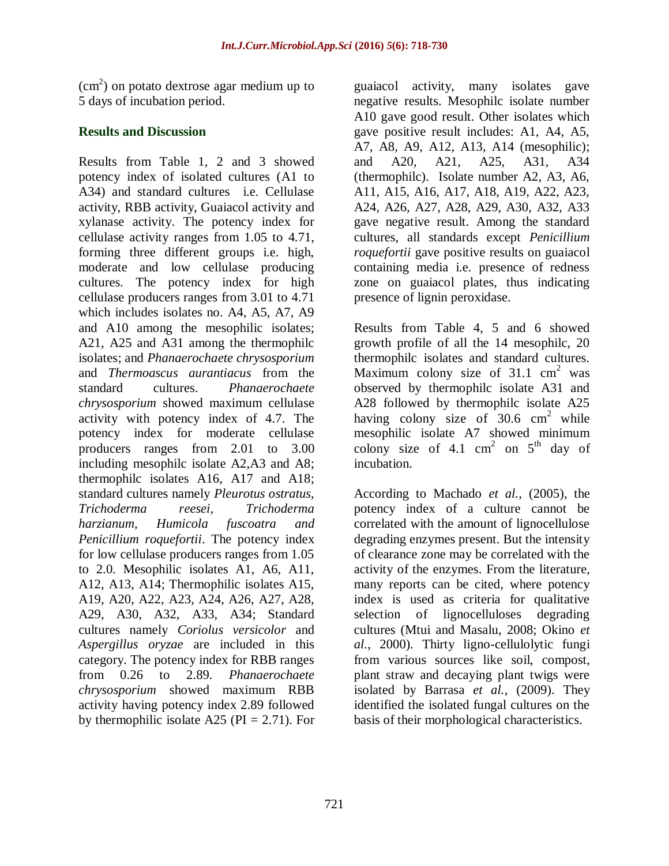$(cm<sup>2</sup>)$  on potato dextrose agar medium up to 5 days of incubation period.

#### **Results and Discussion**

Results from Table 1, 2 and 3 showed potency index of isolated cultures (A1 to A34) and standard cultures i.e. Cellulase activity, RBB activity, Guaiacol activity and xylanase activity. The potency index for cellulase activity ranges from 1.05 to 4.71, forming three different groups i.e. high, moderate and low cellulase producing cultures. The potency index for high cellulase producers ranges from 3.01 to 4.71 which includes isolates no. A4, A5, A7, A9 and A10 among the mesophilic isolates; A21, A25 and A31 among the thermophilc isolates; and *Phanaerochaete chrysosporium* and *Thermoascus aurantiacus* from the standard cultures. *Phanaerochaete chrysosporium* showed maximum cellulase activity with potency index of 4.7. The potency index for moderate cellulase producers ranges from 2.01 to 3.00 including mesophilc isolate A2,A3 and A8; thermophilc isolates A16, A17 and A18; standard cultures namely *Pleurotus ostratus, Trichoderma reesei, Trichoderma harzianum, Humicola fuscoatra and Penicillium roquefortii*. The potency index for low cellulase producers ranges from 1.05 to 2.0. Mesophilic isolates A1, A6, A11, A12, A13, A14; Thermophilic isolates A15, A19, A20, A22, A23, A24, A26, A27, A28, A29, A30, A32, A33, A34; Standard cultures namely *Coriolus versicolor* and *Aspergillus oryzae* are included in this category. The potency index for RBB ranges from 0.26 to 2.89. *Phanaerochaete chrysosporium* showed maximum RBB activity having potency index 2.89 followed by thermophilic isolate A25 ( $PI = 2.71$ ). For

guaiacol activity, many isolates gave negative results. Mesophilc isolate number A10 gave good result. Other isolates which gave positive result includes: A1, A4, A5, A7, A8, A9, A12, A13, A14 (mesophilic); and A20, A21, A25, A31, A34 (thermophilc). Isolate number A2, A3, A6, A11, A15, A16, A17, A18, A19, A22, A23, A24, A26, A27, A28, A29, A30, A32, A33 gave negative result. Among the standard cultures, all standards except *Penicillium roquefortii* gave positive results on guaiacol containing media i.e. presence of redness zone on guaiacol plates, thus indicating presence of lignin peroxidase.

Results from Table 4, 5 and 6 showed growth profile of all the 14 mesophilc, 20 thermophilc isolates and standard cultures. Maximum colony size of  $31.1 \text{ cm}^2$  was observed by thermophilc isolate A31 and A28 followed by thermophilc isolate A25 having colony size of 30.6  $cm<sup>2</sup>$  while mesophilic isolate A7 showed minimum colony size of 4.1  $cm<sup>2</sup>$  on  $5<sup>th</sup>$  day of incubation.

According to Machado *et al.,* (2005), the potency index of a culture cannot be correlated with the amount of lignocellulose degrading enzymes present. But the intensity of clearance zone may be correlated with the activity of the enzymes. From the literature, many reports can be cited, where potency index is used as criteria for qualitative selection of lignocelluloses degrading cultures (Mtui and Masalu, 2008; Okino *et al.,* 2000). Thirty ligno-cellulolytic fungi from various sources like soil, compost, plant straw and decaying plant twigs were isolated by Barrasa *et al.,* (2009). They identified the isolated fungal cultures on the basis of their morphological characteristics.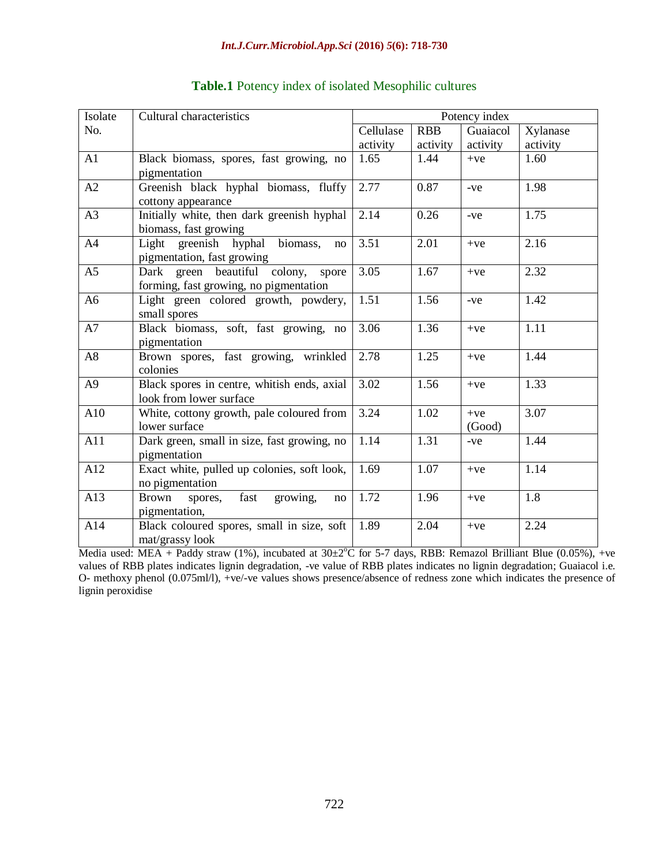| Isolate        | Cultural characteristics                    | Potency index |            |          |          |
|----------------|---------------------------------------------|---------------|------------|----------|----------|
| No.            |                                             | Cellulase     | <b>RBB</b> | Guaiacol | Xylanase |
|                |                                             | activity      | activity   | activity | activity |
| A1             | Black biomass, spores, fast growing, no     | 1.65          | 1.44       | $+ve$    | 1.60     |
|                | pigmentation                                |               |            |          |          |
| A2             | Greenish black hyphal biomass, fluffy       | 2.77          | 0.87       | $-ve$    | 1.98     |
|                | cottony appearance                          |               |            |          |          |
| A3             | Initially white, then dark greenish hyphal  | 2.14          | 0.26       | $-ve$    | 1.75     |
|                | biomass, fast growing                       |               |            |          |          |
| A4             | Light greenish hyphal<br>biomass,<br>no     | 3.51          | 2.01       | $+ve$    | 2.16     |
|                | pigmentation, fast growing                  |               |            |          |          |
| A <sub>5</sub> | Dark green beautiful colony,<br>spore       | 3.05          | 1.67       | $+ve$    | 2.32     |
|                | forming, fast growing, no pigmentation      |               |            |          |          |
| A <sub>6</sub> | Light green colored growth, powdery,        | 1.51          | 1.56       | $-ve$    | 1.42     |
|                | small spores                                |               |            |          |          |
| A7             | Black biomass, soft, fast growing, no       | 3.06          | 1.36       | $+ve$    | 1.11     |
|                | pigmentation                                |               |            |          |          |
| A8             | Brown spores, fast growing, wrinkled        | 2.78          | 1.25       | $+ve$    | 1.44     |
|                | colonies                                    |               |            |          |          |
| A <sub>9</sub> | Black spores in centre, whitish ends, axial | 3.02          | 1.56       | $+ve$    | 1.33     |
|                | look from lower surface                     |               |            |          |          |
| A10            | White, cottony growth, pale coloured from   | 3.24          | 1.02       | $+ve$    | 3.07     |
|                | lower surface                               |               |            | (Good)   |          |
| A11            | Dark green, small in size, fast growing, no | 1.14          | 1.31       | $-ve$    | 1.44     |
|                | pigmentation                                |               |            |          |          |
| A12            | Exact white, pulled up colonies, soft look, | 1.69          | 1.07       | $+ve$    | 1.14     |
|                | no pigmentation                             |               |            |          |          |
| A13            | fast growing,<br>Brown<br>spores,<br>no     | 1.72          | 1.96       | $+ve$    | 1.8      |
|                | pigmentation,                               |               |            |          |          |
| A14            | Black coloured spores, small in size, soft  | 1.89          | 2.04       | $+ve$    | 2.24     |
|                | mat/grassy look                             |               |            |          |          |

# **Table.1** Potency index of isolated Mesophilic cultures

Media used: MEA + Paddy straw (1%), incubated at  $30\pm2^{\circ}\text{C}$  for 5-7 days, RBB: Remazol Brilliant Blue (0.05%), +ve values of RBB plates indicates lignin degradation, -ve value of RBB plates indicates no lignin degradation; Guaiacol i.e. O- methoxy phenol (0.075ml/l), +ve/-ve values shows presence/absence of redness zone which indicates the presence of lignin peroxidise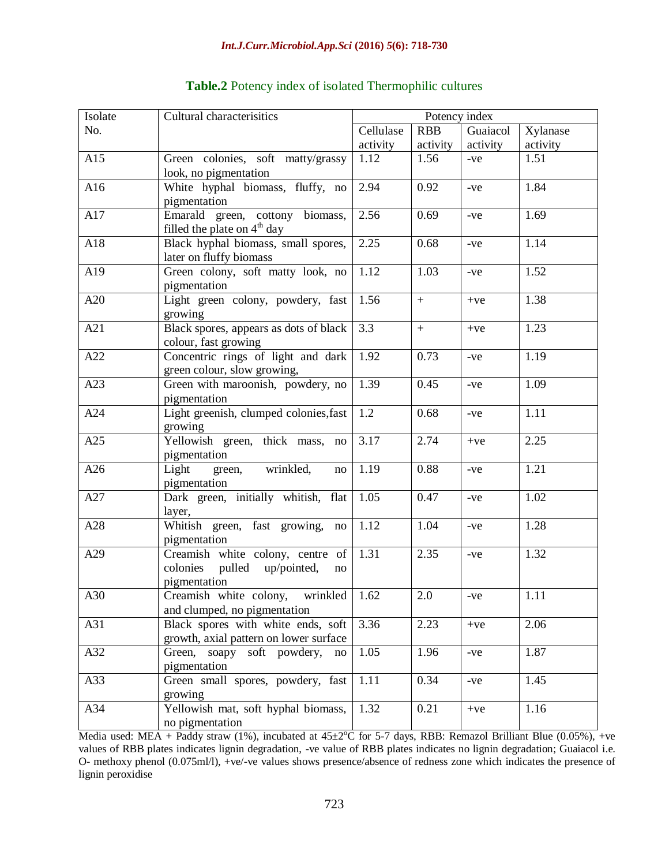| Isolate | Cultural characterisitics                         | Potency index |                  |          |          |
|---------|---------------------------------------------------|---------------|------------------|----------|----------|
| No.     |                                                   | Cellulase     | <b>RBB</b>       | Guaiacol | Xylanase |
|         |                                                   | activity      | activity         | activity | activity |
| A15     | Green colonies, soft matty/grassy                 | 1.12          | 1.56             | $-ve$    | 1.51     |
|         | look, no pigmentation                             |               |                  |          |          |
| A16     | White hyphal biomass, fluffy, no                  | 2.94          | 0.92             | $-ve$    | 1.84     |
|         | pigmentation                                      |               |                  |          |          |
| A17     | Emarald green, cottony biomass,                   | 2.56          | 0.69             | $-ve$    | 1.69     |
|         | filled the plate on $4th$ day                     |               |                  |          |          |
| A18     | Black hyphal biomass, small spores,               | 2.25          | 0.68             | $-ve$    | 1.14     |
|         | later on fluffy biomass                           |               |                  |          |          |
| A19     | Green colony, soft matty look, no                 | 1.12          | 1.03             | $-ve$    | 1.52     |
|         | pigmentation                                      |               |                  |          |          |
| A20     | Light green colony, powdery, fast                 | 1.56          | $\boldsymbol{+}$ | $+ve$    | 1.38     |
|         | growing                                           |               |                  |          |          |
| A21     | Black spores, appears as dots of black            | 3.3           | $+$              | $+ve$    | 1.23     |
|         | colour, fast growing                              |               |                  |          |          |
| A22     | Concentric rings of light and dark                | 1.92          | 0.73             | $-ve$    | 1.19     |
|         | green colour, slow growing,                       | 1.39          |                  |          |          |
| A23     | Green with maroonish, powdery, no                 |               | 0.45             | $-ve$    | 1.09     |
|         | pigmentation                                      |               |                  |          |          |
| A24     | Light greenish, clumped colonies, fast            | 1.2           | 0.68             | $-ve$    | 1.11     |
|         | growing                                           |               |                  |          |          |
| A25     | Yellowish green, thick mass, no                   | 3.17          | 2.74             | $+ve$    | 2.25     |
|         | pigmentation                                      | 1.19          |                  |          |          |
| A26     | wrinkled,<br>Light<br>green,<br>no                |               | 0.88             | $-ve$    | 1.21     |
|         | pigmentation                                      |               |                  |          |          |
| A27     | Dark green, initially whitish, flat               | 1.05          | 0.47             | $-ve$    | 1.02     |
|         | layer,                                            |               |                  |          |          |
| A28     | Whitish green, fast growing, no                   | 1.12          | 1.04             | $-ve$    | 1.28     |
|         | pigmentation                                      |               |                  |          |          |
| A29     | Creamish white colony, centre of                  | 1.31          | 2.35             | $-ve$    | 1.32     |
|         | colonies pulled up/pointed,<br>no                 |               |                  |          |          |
|         | pigmentation                                      |               |                  |          |          |
| A30     | Creamish white colony, wrinkled 1.62              |               | 2.0              | $-ve$    | 1.11     |
|         | and clumped, no pigmentation                      |               |                  |          |          |
| A31     | Black spores with white ends, soft                | 3.36          | 2.23             | $+ve$    | 2.06     |
|         | growth, axial pattern on lower surface            |               |                  |          |          |
| A32     | Green, soapy soft powdery,<br>$\operatorname{no}$ | 1.05          | 1.96             | $-ve$    | 1.87     |
|         | pigmentation                                      |               |                  |          |          |
| A33     | Green small spores, powdery, fast                 | 1.11          | 0.34             | -ve      | 1.45     |
|         | growing                                           |               |                  |          |          |
| A34     | Yellowish mat, soft hyphal biomass,               | 1.32          | 0.21             | $+ve$    | 1.16     |
|         | no pigmentation                                   |               |                  |          |          |

## **Table.2** Potency index of isolated Thermophilic cultures

Media used: MEA + Paddy straw (1%), incubated at  $45\pm2\degree$ C for 5-7 days, RBB: Remazol Brilliant Blue (0.05%), +ve values of RBB plates indicates lignin degradation, -ve value of RBB plates indicates no lignin degradation; Guaiacol i.e. O- methoxy phenol (0.075ml/l), +ve/-ve values shows presence/absence of redness zone which indicates the presence of lignin peroxidise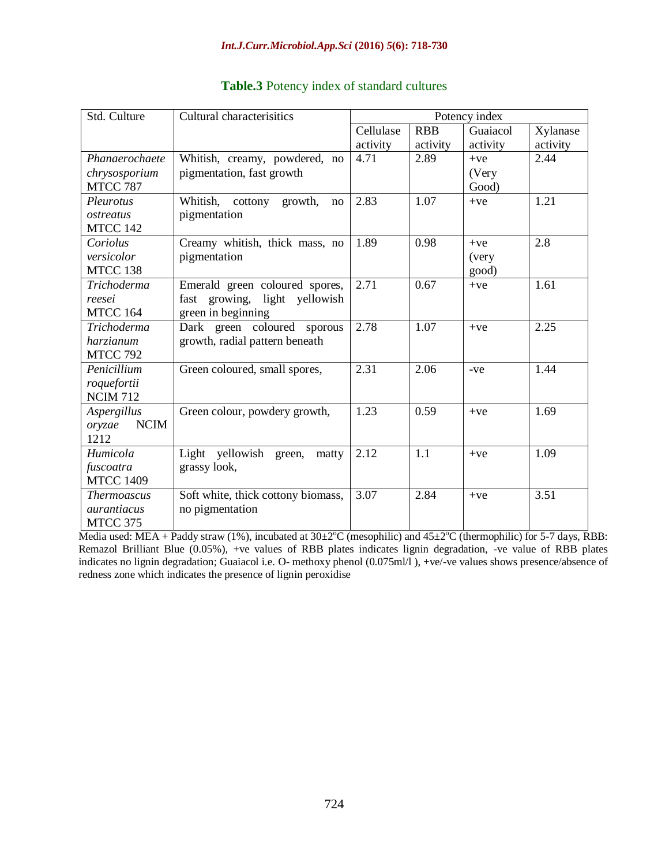| Std. Culture          | Cultural characterisitics            |           | Potency index |          |                  |  |
|-----------------------|--------------------------------------|-----------|---------------|----------|------------------|--|
|                       |                                      | Cellulase | <b>RBB</b>    | Guaiacol | Xylanase         |  |
|                       |                                      | activity  | activity      | activity | activity         |  |
| Phanaerochaete        | Whitish, creamy, powdered, no        | 4.71      | 2.89          | $+ve$    | 2.44             |  |
| chrysosporium         | pigmentation, fast growth            |           |               | (Very    |                  |  |
| <b>MTCC 787</b>       |                                      |           |               | Good)    |                  |  |
| Pleurotus             | Whitish,<br>cottony<br>growth,<br>no | 2.83      | 1.07          | $+ve$    | 1.21             |  |
| ostreatus             | pigmentation                         |           |               |          |                  |  |
| MTCC 142              |                                      |           |               |          |                  |  |
| Coriolus              | Creamy whitish, thick mass, no       | 1.89      | 0.98          | $+ve$    | $\overline{2.8}$ |  |
| versicolor            | pigmentation                         |           |               | (very    |                  |  |
| MTCC 138              |                                      |           |               | good)    |                  |  |
| Trichoderma           | Emerald green coloured spores,       | 2.71      | 0.67          | $+ve$    | 1.61             |  |
| reesei                | fast growing, light yellowish        |           |               |          |                  |  |
| MTCC 164              | green in beginning                   |           |               |          |                  |  |
| Trichoderma           | Dark green coloured sporous          | 2.78      | 1.07          | $+ve$    | 2.25             |  |
| harzianum             | growth, radial pattern beneath       |           |               |          |                  |  |
| <b>MTCC 792</b>       |                                      |           |               |          |                  |  |
| Penicillium           | Green coloured, small spores,        | 2.31      | 2.06          | $-ve$    | 1.44             |  |
| roquefortii           |                                      |           |               |          |                  |  |
| <b>NCIM 712</b>       |                                      |           |               |          |                  |  |
| Aspergillus           | Green colour, powdery growth,        | 1.23      | 0.59          | $+ve$    | 1.69             |  |
| <b>NCIM</b><br>oryzae |                                      |           |               |          |                  |  |
| 1212                  |                                      |           |               |          |                  |  |
| Humicola              | Light yellowish<br>green,<br>matty   | 2.12      | 1.1           | $+ve$    | 1.09             |  |
| fuscoatra             | grassy look,                         |           |               |          |                  |  |
| <b>MTCC 1409</b>      |                                      |           |               |          |                  |  |
| <b>Thermoascus</b>    | Soft white, thick cottony biomass,   | 3.07      | 2.84          | $+ve$    | 3.51             |  |
| aurantiacus           | no pigmentation                      |           |               |          |                  |  |
| MTCC 375              |                                      |           |               |          |                  |  |

#### **Table.3** Potency index of standard cultures

Media used: MEA + Paddy straw (1%), incubated at  $30\pm2^{\circ}$ C (mesophilic) and  $45\pm2^{\circ}$ C (thermophilic) for 5-7 days, RBB: Remazol Brilliant Blue (0.05%), +ve values of RBB plates indicates lignin degradation, -ve value of RBB plates indicates no lignin degradation; Guaiacol i.e. O- methoxy phenol (0.075ml/l ), +ve/-ve values shows presence/absence of redness zone which indicates the presence of lignin peroxidise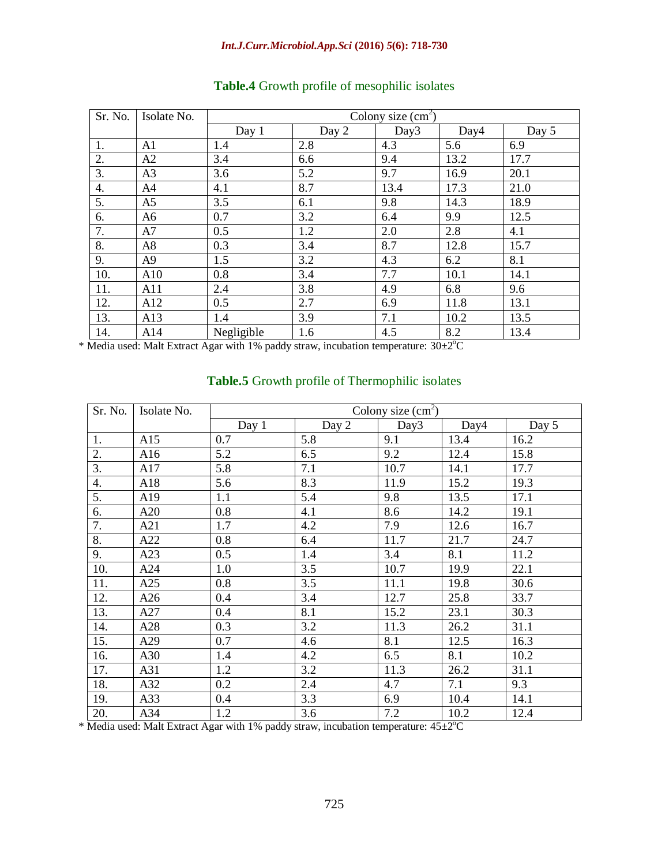#### *Int.J.Curr.Microbiol.App.Sci* **(2016)** *5***(6): 718-730**

| Sr. No. | Isolate No.    | Colony size $(cm2)$ |       |      |      |       |  |
|---------|----------------|---------------------|-------|------|------|-------|--|
|         |                | Day 1               | Day 2 | Day3 | Day4 | Day 5 |  |
| 1.      | A1             | 1.4                 | 2.8   | 4.3  | 5.6  | 6.9   |  |
| 2.      | A2             | 3.4                 | 6.6   | 9.4  | 13.2 | 17.7  |  |
| 3.      | A <sub>3</sub> | 3.6                 | 5.2   | 9.7  | 16.9 | 20.1  |  |
| 4.      | A <sub>4</sub> | 4.1                 | 8.7   | 13.4 | 17.3 | 21.0  |  |
| 5.      | A <sub>5</sub> | 3.5                 | 6.1   | 9.8  | 14.3 | 18.9  |  |
| 6.      | A <sub>6</sub> | 0.7                 | 3.2   | 6.4  | 9.9  | 12.5  |  |
| 7.      | A7             | 0.5                 | 1.2   | 2.0  | 2.8  | 4.1   |  |
| 8.      | A <sub>8</sub> | 0.3                 | 3.4   | 8.7  | 12.8 | 15.7  |  |
| 9.      | A <sub>9</sub> | 1.5                 | 3.2   | 4.3  | 6.2  | 8.1   |  |
| 10.     | A10            | 0.8                 | 3.4   | 7.7  | 10.1 | 14.1  |  |
| 11.     | A11            | 2.4                 | 3.8   | 4.9  | 6.8  | 9.6   |  |
| 12.     | A12            | 0.5                 | 2.7   | 6.9  | 11.8 | 13.1  |  |
| 13.     | A13            | 1.4                 | 3.9   | 7.1  | 10.2 | 13.5  |  |
| 14.     | A14            | Negligible          | 1.6   | 4.5  | 8.2  | 13.4  |  |

### **Table.4** Growth profile of mesophilic isolates

\* Media used: Malt Extract Agar with 1% paddy straw, incubation temperature:  $30\pm2\degree C$ 

|  | <b>Table.5</b> Growth profile of Thermophilic isolates |  |
|--|--------------------------------------------------------|--|
|  |                                                        |  |

| Sr. No.          | Isolate No. | Colony size $(cm2)$ |       |      |      |       |  |
|------------------|-------------|---------------------|-------|------|------|-------|--|
|                  |             | Day 1               | Day 2 | Day3 | Day4 | Day 5 |  |
| 1.               | A15         | 0.7                 | 5.8   | 9.1  | 13.4 | 16.2  |  |
| 2.               | A16         | 5.2                 | 6.5   | 9.2  | 12.4 | 15.8  |  |
| $\overline{3}$ . | A17         | 5.8                 | 7.1   | 10.7 | 14.1 | 17.7  |  |
| 4.               | A18         | 5.6                 | 8.3   | 11.9 | 15.2 | 19.3  |  |
| 5.               | A19         | 1.1                 | 5.4   | 9.8  | 13.5 | 17.1  |  |
| 6.               | A20         | 0.8                 | 4.1   | 8.6  | 14.2 | 19.1  |  |
| 7.               | A21         | 1.7                 | 4.2   | 7.9  | 12.6 | 16.7  |  |
| $\overline{8}$ . | A22         | 0.8                 | 6.4   | 11.7 | 21.7 | 24.7  |  |
| 9.               | A23         | 0.5                 | 1.4   | 3.4  | 8.1  | 11.2  |  |
| 10.              | A24         | 1.0                 | 3.5   | 10.7 | 19.9 | 22.1  |  |
| 11.              | A25         | 0.8                 | 3.5   | 11.1 | 19.8 | 30.6  |  |
| 12.              | A26         | 0.4                 | 3.4   | 12.7 | 25.8 | 33.7  |  |
| 13.              | A27         | 0.4                 | 8.1   | 15.2 | 23.1 | 30.3  |  |
| 14.              | A28         | 0.3                 | 3.2   | 11.3 | 26.2 | 31.1  |  |
| 15.              | A29         | 0.7                 | 4.6   | 8.1  | 12.5 | 16.3  |  |
| 16.              | A30         | 1.4                 | 4.2   | 6.5  | 8.1  | 10.2  |  |
| 17.              | A31         | 1.2                 | 3.2   | 11.3 | 26.2 | 31.1  |  |
| 18.              | A32         | 0.2                 | 2.4   | 4.7  | 7.1  | 9.3   |  |
| 19.              | A33         | 0.4                 | 3.3   | 6.9  | 10.4 | 14.1  |  |
| 20.              | A34         | 1.2                 | 3.6   | 7.2  | 10.2 | 12.4  |  |

\* Media used: Malt Extract Agar with 1% paddy straw, incubation temperature:  $45\pm2\degree C$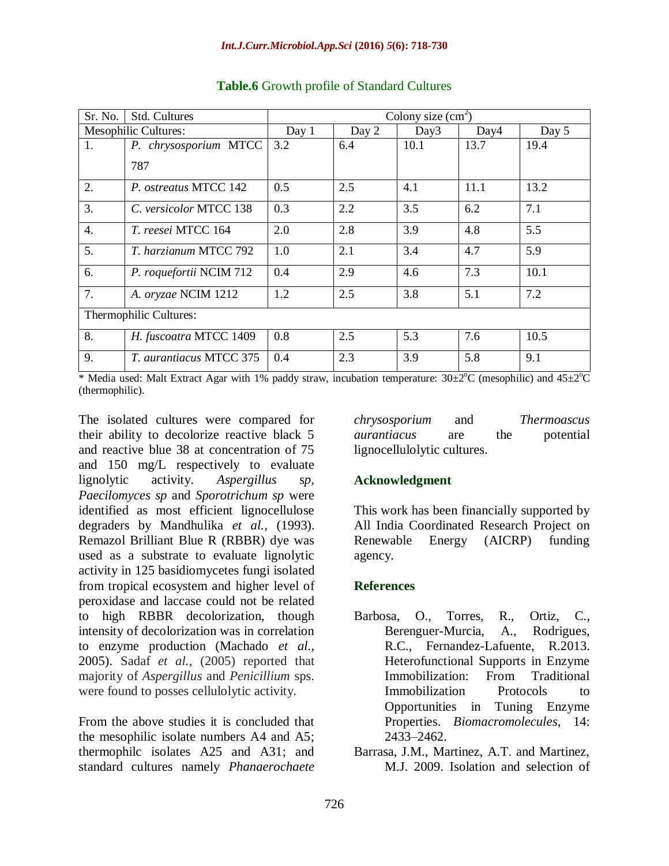| Sr. No.<br>Std. Cultures |                                |         | Colony size $(cm2)$ |      |      |       |  |  |
|--------------------------|--------------------------------|---------|---------------------|------|------|-------|--|--|
| Mesophilic Cultures:     |                                | Day $1$ | Day 2               | Day3 | Day4 | Day 5 |  |  |
| 1.                       | P. chrysosporium MTCC          | 3.2     | 6.4                 | 10.1 | 13.7 | 19.4  |  |  |
|                          | 787                            |         |                     |      |      |       |  |  |
| 2.                       | P. ostreatus MTCC 142          | 0.5     | 2.5                 | 4.1  | 11.1 | 13.2  |  |  |
| 3.                       | C. versicolor MTCC 138         | 0.3     | 2.2                 | 3.5  | 6.2  | 7.1   |  |  |
| $\overline{4}$ .         | <i>T. reesei</i> MTCC 164      | 2.0     | 2.8                 | 3.9  | 4.8  | 5.5   |  |  |
| 5.                       | T. harzianum MTCC 792          | 1.0     | 2.1                 | 3.4  | 4.7  | 5.9   |  |  |
| 6.                       | P. roquefortii NCIM 712        | 0.4     | 2.9                 | 4.6  | 7.3  | 10.1  |  |  |
| 7.                       | A. oryzae NCIM 1212            | 1.2     | 2.5                 | 3.8  | 5.1  | 7.2   |  |  |
| Thermophilic Cultures:   |                                |         |                     |      |      |       |  |  |
| 8.                       | H. fuscoatra MTCC 1409         | 0.8     | 2.5                 | 5.3  | 7.6  | 10.5  |  |  |
| 9.                       | <i>T. aurantiacus MTCC 375</i> | 0.4     | 2.3                 | 3.9  | 5.8  | 9.1   |  |  |

#### **Table.6** Growth profile of Standard Cultures

\* Media used: Malt Extract Agar with 1% paddy straw, incubation temperature:  $30\pm2^{\circ}\text{C}$  (mesophilic) and  $45\pm2^{\circ}\text{C}$ (thermophilic).

The isolated cultures were compared for their ability to decolorize reactive black 5 and reactive blue 38 at concentration of 75 and 150 mg/L respectively to evaluate lignolytic activity. *Aspergillus* s*p, Paecilomyces sp* and *Sporotrichum sp* were identified as most efficient lignocellulose degraders by Mandhulika *et al.,* (1993). Remazol Brilliant Blue R (RBBR) dye was used as a substrate to evaluate lignolytic activity in 125 basidiomycetes fungi isolated from tropical ecosystem and higher level of peroxidase and laccase could not be related to high RBBR decolorization, though intensity of decolorization was in correlation to enzyme production (Machado *et al.,* 2005). Sadaf *et al.,* (2005) reported that majority of *Aspergillus* and *Penicillium* sps. were found to posses cellulolytic activity.

From the above studies it is concluded that the mesophilic isolate numbers A4 and A5; thermophilc isolates A25 and A31; and standard cultures namely *Phanaerochaete*  *chrysosporium* and *Thermoascus aurantiacus* are the potential lignocellulolytic cultures.

#### **Acknowledgment**

This work has been financially supported by All India Coordinated Research Project on Renewable Energy (AICRP) funding agency.

#### **References**

- Barbosa, O., Torres, R., Ortiz, C., Berenguer-Murcia, A., Rodrigues, R.C., Fernandez-Lafuente, R.2013. Heterofunctional Supports in Enzyme Immobilization: From Traditional Immobilization Protocols to Opportunities in Tuning Enzyme Properties. *Biomacromolecules*, 14: 2433–2462.
- Barrasa, J.M., Martinez, A.T. and Martinez, M.J. 2009. Isolation and selection of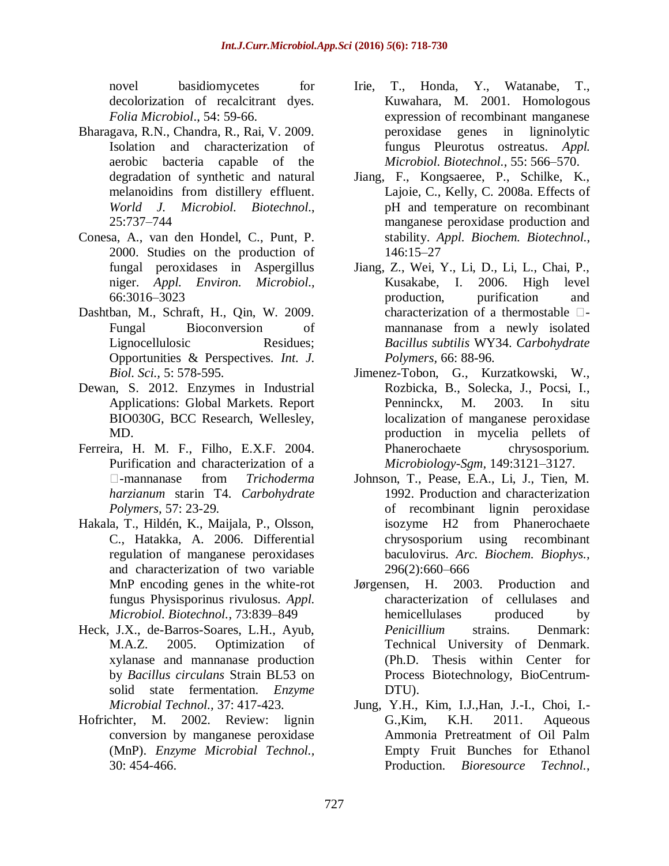novel basidiomycetes for decolorization of recalcitrant dyes. *Folia Microbiol*., 54: 59-66.

- Bharagava, R.N., Chandra, R., Rai, V. 2009. Isolation and characterization of aerobic bacteria capable of the degradation of synthetic and natural melanoidins from distillery effluent. *World J. Microbiol. Biotechnol.*, 25:737–744
- Conesa, A., van den Hondel, C., Punt, P. 2000. Studies on the production of fungal peroxidases in Aspergillus niger. *Appl. Environ. Microbiol.,* 66:3016–3023
- Dashtban, M., Schraft, H., Qin, W. 2009. Fungal Bioconversion of Lignocellulosic Residues; Opportunities & Perspectives. *Int. J. Biol. Sci.,* 5: 578-595.
- Dewan, S. 2012. Enzymes in Industrial Applications: Global Markets. Report BIO030G, BCC Research, Wellesley, MD.
- Ferreira, H. M. F., Filho, E.X.F. 2004. Purification and characterization of a -mannanase from *Trichoderma harzianum* starin T4. *Carbohydrate Polymers,* 57: 23-29.
- Hakala, T., Hildén, K., Maijala, P., Olsson, C., Hatakka, A. 2006. Differential regulation of manganese peroxidases and characterization of two variable MnP encoding genes in the white-rot fungus Physisporinus rivulosus*. Appl. Microbiol. Biotechnol.*, 73:839–849
- Heck, J.X., de-Barros-Soares, L.H., Ayub, M.A.Z. 2005. Optimization of xylanase and mannanase production by *Bacillus circulans* Strain BL53 on solid state fermentation. *Enzyme Microbial Technol.,* 37: 417-423.
- Hofrichter, M. 2002. Review: lignin conversion by manganese peroxidase (MnP). *Enzyme Microbial Technol.,*  30: 454-466.
- Irie, T., Honda, Y., Watanabe, T., Kuwahara, M. 2001. Homologous expression of recombinant manganese peroxidase genes in ligninolytic fungus Pleurotus ostreatus. *Appl. Microbiol. Biotechnol.*, 55: 566–570.
- Jiang, F., Kongsaeree, P., Schilke, K., Lajoie, C., Kelly, C. 2008a. Effects of pH and temperature on recombinant manganese peroxidase production and stability. *Appl. Biochem. Biotechnol.*, 146:15–27
- Jiang, Z., Wei, Y., Li, D., Li, L., Chai, P., Kusakabe, I. 2006. High level production, purification and characterization of a thermostable  $\square$ mannanase from a newly isolated *Bacillus subtilis* WY34. *Carbohydrate Polymers,* 66: 88-96.
- Jimenez-Tobon, G., Kurzatkowski, W., Rozbicka, B., Solecka, J., Pocsi, I., Penninckx, M. 2003. In situ localization of manganese peroxidase production in mycelia pellets of Phanerochaete chrysosporium. *Microbiology-Sgm,* 149:3121–3127.
- Johnson, T., Pease, E.A., Li, J., Tien, M. 1992. Production and characterization of recombinant lignin peroxidase isozyme H2 from Phanerochaete chrysosporium using recombinant baculovirus. *Arc. Biochem. Biophys.,*  296(2):660–666
- Jørgensen, H. 2003. Production and characterization of cellulases and hemicellulases produced by *Penicillium* strains. Denmark: Technical University of Denmark. (Ph.D. Thesis within Center for Process Biotechnology, BioCentrum-DTU).
- Jung, Y.H., Kim, I.J.,Han, J.-I., Choi, I.- G.,Kim, K.H. 2011. Aqueous Ammonia Pretreatment of Oil Palm Empty Fruit Bunches for Ethanol Production. *Bioresource Technol.*,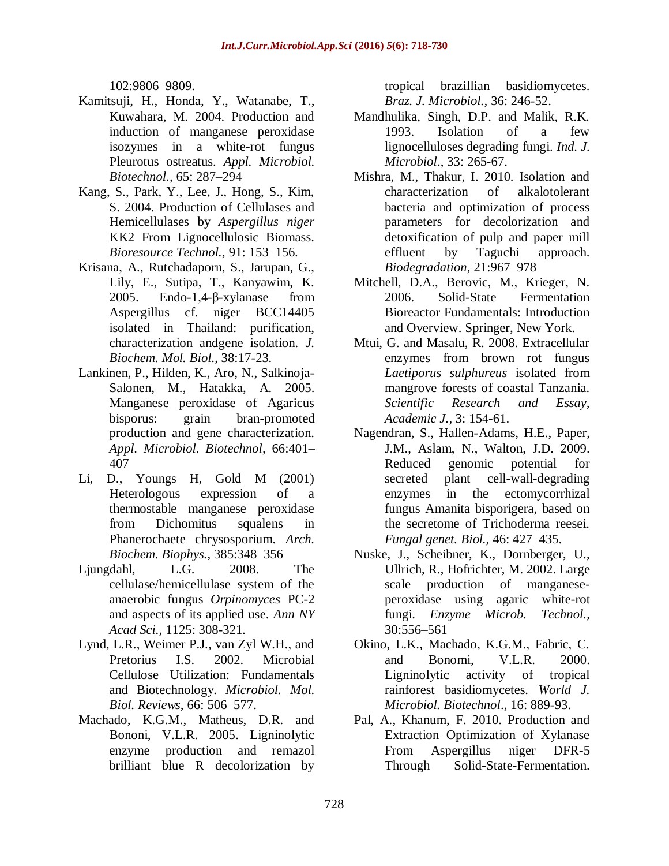102:9806–9809.

- Kamitsuji, H., Honda, Y., Watanabe, T., Kuwahara, M. 2004. Production and induction of manganese peroxidase isozymes in a white-rot fungus Pleurotus ostreatus. *Appl. Microbiol. Biotechnol.,* 65: 287–294
- Kang, S., Park, Y., Lee, J., Hong, S., Kim, S. 2004. Production of Cellulases and Hemicellulases by *Aspergillus niger* KK2 From Lignocellulosic Biomass. *Bioresource Technol.*, 91: 153–156.
- Krisana, A., Rutchadaporn, S., Jarupan, G., Lily, E., Sutipa, T., Kanyawim, K. 2005. Endo-1,4-β-xylanase from Aspergillus cf. niger BCC14405 isolated in Thailand: purification, characterization andgene isolation. *J. Biochem. Mol. Biol*., 38:17-23.
- Lankinen, P., Hilden, K., Aro, N., Salkinoja-Salonen, M., Hatakka, A. 2005. Manganese peroxidase of Agaricus bisporus: grain bran-promoted production and gene characterization. *Appl. Microbiol. Biotechnol,* 66:401– 407
- Li, D., Youngs H, Gold M (2001) Heterologous expression of a thermostable manganese peroxidase from Dichomitus squalens in Phanerochaete chrysosporium. *Arch. Biochem. Biophys.,* 385:348–356
- Ljungdahl, L.G. 2008. The cellulase/hemicellulase system of the anaerobic fungus *Orpinomyces* PC-2 and aspects of its applied use. *Ann NY Acad Sci.,* 1125: 308-321.
- Lynd, L.R., Weimer P.J., van Zyl W.H., and Pretorius I.S. 2002. Microbial Cellulose Utilization: Fundamentals and Biotechnology. *Microbiol. Mol. Biol. Reviews*, 66: 506–577.
- Machado, K.G.M., Matheus, D.R. and Bononi, V.L.R. 2005. Ligninolytic enzyme production and remazol brilliant blue R decolorization by

tropical brazillian basidiomycetes. *Braz. J. Microbiol.,* 36: 246-52.

- Mandhulika, Singh, D.P. and Malik, R.K. 1993. Isolation of a few lignocelluloses degrading fungi. *Ind. J. Microbiol*., 33: 265-67.
- Mishra, M., Thakur, I. 2010. Isolation and characterization of alkalotolerant bacteria and optimization of process parameters for decolorization and detoxification of pulp and paper mill effluent by Taguchi approach. *Biodegradation,* 21:967–978
- Mitchell, D.A., Berovic, M., Krieger, N. 2006. Solid-State Fermentation Bioreactor Fundamentals: Introduction and Overview. Springer, New York.
- Mtui, G. and Masalu, R. 2008. Extracellular enzymes from brown rot fungus *Laetiporus sulphureus* isolated from mangrove forests of coastal Tanzania. *Scientific Research and Essay, Academic J.,* 3: 154-61.
- Nagendran, S., Hallen-Adams, H.E., Paper, J.M., Aslam, N., Walton, J.D. 2009. Reduced genomic potential for secreted plant cell-wall-degrading enzymes in the ectomycorrhizal fungus Amanita bisporigera, based on the secretome of Trichoderma reesei. *Fungal genet. Biol.,* 46: 427–435.
- Nuske, J., Scheibner, K., Dornberger, U., Ullrich, R., Hofrichter, M. 2002. Large scale production of manganeseperoxidase using agaric white-rot fungi. *Enzyme Microb. Technol.,*  30:556–561
- Okino, L.K., Machado, K.G.M., Fabric, C. and Bonomi, V.L.R. 2000. Ligninolytic activity of tropical rainforest basidiomycetes. *World J. Microbiol. Biotechnol*., 16: 889-93.
- Pal, A., Khanum, F. 2010. Production and Extraction Optimization of Xylanase From Aspergillus niger DFR-5 Through Solid-State-Fermentation.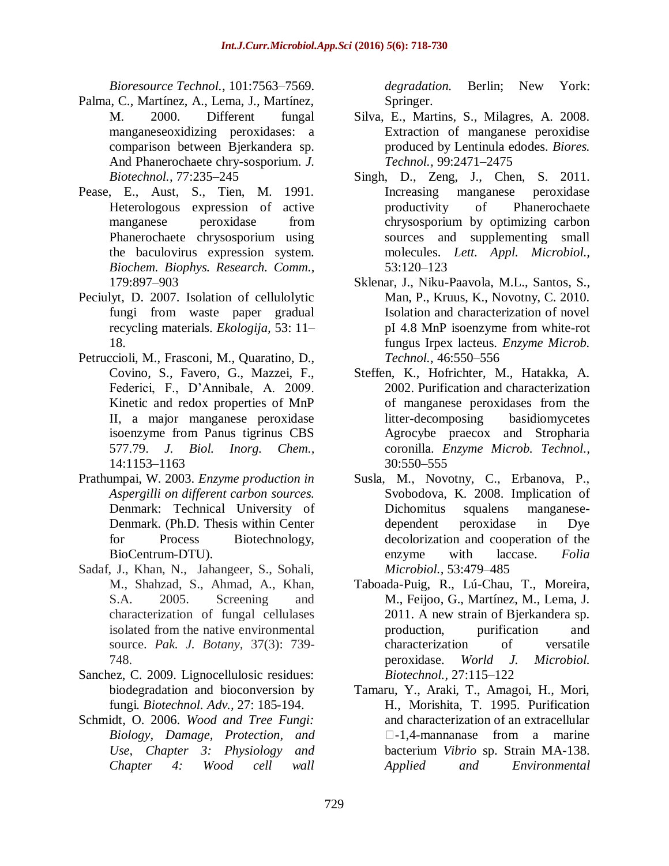*Bioresource Technol.*, 101:7563–7569.

- Palma, C., Martínez, A., Lema, J., Martínez, M. 2000. Different fungal manganeseoxidizing peroxidases: a comparison between Bjerkandera sp. And Phanerochaete chry-sosporium. *J. Biotechnol.,* 77:235–245
- Pease, E., Aust, S., Tien, M. 1991. Heterologous expression of active manganese peroxidase from Phanerochaete chrysosporium using the baculovirus expression system. *Biochem. Biophys. Research. Comm.,*  179:897–903
- Peciulyt, D. 2007. Isolation of cellulolytic fungi from waste paper gradual recycling materials. *Ekologija,* 53: 11– 18.
- Petruccioli, M., Frasconi, M., Quaratino, D., Covino, S., Favero, G., Mazzei, F., Federici, F., D'Annibale, A. 2009. Kinetic and redox properties of MnP II, a major manganese peroxidase isoenzyme from Panus tigrinus CBS 577.79. *J. Biol. Inorg. Chem.,*  14:1153–1163
- Prathumpai, W. 2003. *Enzyme production in Aspergilli on different carbon sources.*  Denmark: Technical University of Denmark. (Ph.D. Thesis within Center for Process Biotechnology, BioCentrum-DTU).
- Sadaf, J., Khan, N., Jahangeer, S., Sohali, M., Shahzad, S., Ahmad, A., Khan, S.A. 2005. Screening and characterization of fungal cellulases isolated from the native environmental source. *Pak. J. Botany,* 37(3): 739- 748.
- Sanchez, C. 2009. Lignocellulosic residues: biodegradation and bioconversion by fungi*. Biotechnol. Adv.,* 27: 185-194.
- Schmidt, O. 2006. *Wood and Tree Fungi: Biology, Damage, Protection, and Use, Chapter 3: Physiology and Chapter 4: Wood cell wall*

*degradation.* Berlin; New York: Springer.

- Silva, E., Martins, S., Milagres, A. 2008. Extraction of manganese peroxidise produced by Lentinula edodes. *Biores. Technol.,* 99:2471–2475
- Singh, D., Zeng, J., Chen, S. 2011. Increasing manganese peroxidase productivity of Phanerochaete chrysosporium by optimizing carbon sources and supplementing small molecules. *Lett. Appl. Microbiol.,*  53:120–123
- Sklenar, J., Niku-Paavola, M.L., Santos, S., Man, P., Kruus, K., Novotny, C. 2010. Isolation and characterization of novel pI 4.8 MnP isoenzyme from white-rot fungus Irpex lacteus. *Enzyme Microb. Technol.,* 46:550–556
- Steffen, K., Hofrichter, M., Hatakka, A. 2002. Purification and characterization of manganese peroxidases from the litter-decomposing basidiomycetes Agrocybe praecox and Stropharia coronilla. *Enzyme Microb. Technol.,* 30:550–555
- Susla, M., Novotny, C., Erbanova, P., Svobodova, K. 2008. Implication of Dichomitus squalens manganesedependent peroxidase in Dye decolorization and cooperation of the enzyme with laccase. *Folia Microbiol.,* 53:479–485
- Taboada-Puig, R., Lú-Chau, T., Moreira, M., Feijoo, G., Martínez, M., Lema, J. 2011. A new strain of Bjerkandera sp. production, purification and characterization of versatile peroxidase. *World J. Microbiol. Biotechnol.,* 27:115–122
- Tamaru, Y., Araki, T., Amagoi, H., Mori, H., Morishita, T. 1995. Purification and characterization of an extracellular  $\Box$ -1,4-mannanase from a marine bacterium *Vibrio* sp. Strain MA-138. *Applied and Environmental*